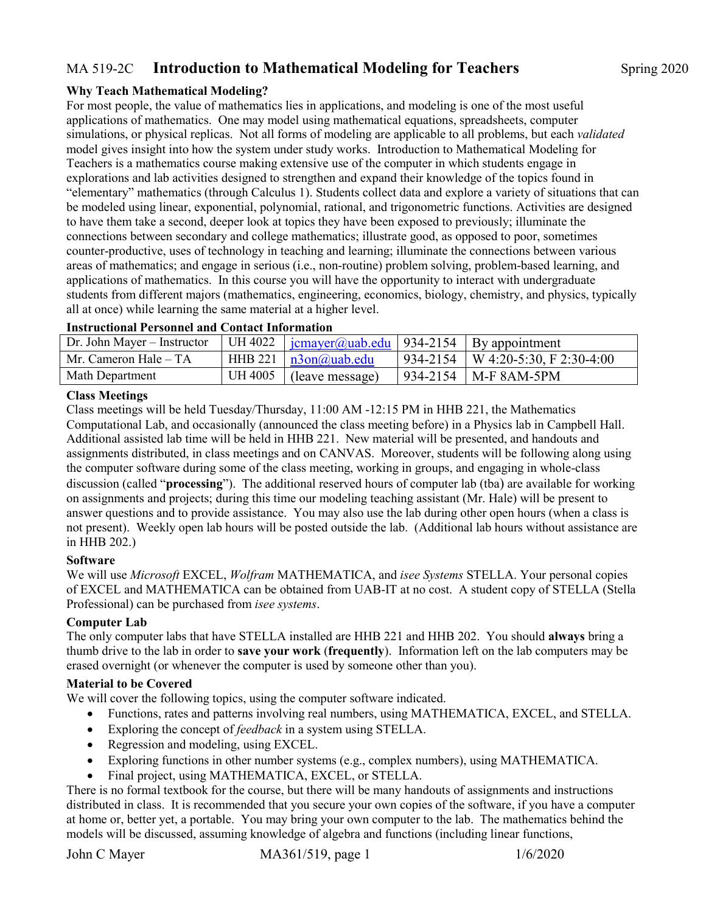## MA 519-2C **Introduction to Mathematical Modeling for Teachers** Spring 2020

#### **Why Teach Mathematical Modeling?**

For most people, the value of mathematics lies in applications, and modeling is one of the most useful applications of mathematics. One may model using mathematical equations, spreadsheets, computer simulations, or physical replicas. Not all forms of modeling are applicable to all problems, but each *validated* model gives insight into how the system under study works. Introduction to Mathematical Modeling for Teachers is a mathematics course making extensive use of the computer in which students engage in explorations and lab activities designed to strengthen and expand their knowledge of the topics found in "elementary" mathematics (through Calculus 1). Students collect data and explore a variety of situations that can be modeled using linear, exponential, polynomial, rational, and trigonometric functions. Activities are designed to have them take a second, deeper look at topics they have been exposed to previously; illuminate the connections between secondary and college mathematics; illustrate good, as opposed to poor, sometimes counter-productive, uses of technology in teaching and learning; illuminate the connections between various areas of mathematics; and engage in serious (i.e., non-routine) problem solving, problem-based learning, and applications of mathematics. In this course you will have the opportunity to interact with undergraduate students from different majors (mathematics, engineering, economics, biology, chemistry, and physics, typically all at once) while learning the same material at a higher level.

| Dr. John Mayer – Instructor | UH 4022 $\frac{1}{2}$ icmayer@uab.edu   934-2154   By appointment |                                       |
|-----------------------------|-------------------------------------------------------------------|---------------------------------------|
| Mr. Cameron Hale – TA       | HHB 221 $\sqrt{n3}$ on $\omega$ uab.edu                           | $934-2154$   W 4:20-5:30, F 2:30-4:00 |
| <b>Math Department</b>      | $\mid$ UH 4005   (leave message)                                  | $\vert$ 934-2154   M-F 8AM-5PM        |

#### **Instructional Personnel and Contact Information**

#### **Class Meetings**

Class meetings will be held Tuesday/Thursday, 11:00 AM -12:15 PM in HHB 221, the Mathematics Computational Lab, and occasionally (announced the class meeting before) in a Physics lab in Campbell Hall. Additional assisted lab time will be held in HHB 221. New material will be presented, and handouts and assignments distributed, in class meetings and on CANVAS. Moreover, students will be following along using the computer software during some of the class meeting, working in groups, and engaging in whole-class discussion (called "**processing**"). The additional reserved hours of computer lab (tba) are available for working on assignments and projects; during this time our modeling teaching assistant (Mr. Hale) will be present to answer questions and to provide assistance. You may also use the lab during other open hours (when a class is not present). Weekly open lab hours will be posted outside the lab. (Additional lab hours without assistance are in HHB 202.)

#### **Software**

We will use *Microsoft* EXCEL, *Wolfram* MATHEMATICA, and *isee Systems* STELLA. Your personal copies of EXCEL and MATHEMATICA can be obtained from UAB-IT at no cost. A student copy of STELLA (Stella Professional) can be purchased from *isee systems*.

#### **Computer Lab**

The only computer labs that have STELLA installed are HHB 221 and HHB 202. You should **always** bring a thumb drive to the lab in order to **save your work** (**frequently**). Information left on the lab computers may be erased overnight (or whenever the computer is used by someone other than you).

#### **Material to be Covered**

We will cover the following topics, using the computer software indicated.

- Functions, rates and patterns involving real numbers, using MATHEMATICA, EXCEL, and STELLA.
- Exploring the concept of *feedback* in a system using STELLA.
- Regression and modeling, using EXCEL.
- Exploring functions in other number systems (e.g., complex numbers), using MATHEMATICA.
- Final project, using MATHEMATICA, EXCEL, or STELLA.

There is no formal textbook for the course, but there will be many handouts of assignments and instructions distributed in class. It is recommended that you secure your own copies of the software, if you have a computer at home or, better yet, a portable. You may bring your own computer to the lab. The mathematics behind the models will be discussed, assuming knowledge of algebra and functions (including linear functions,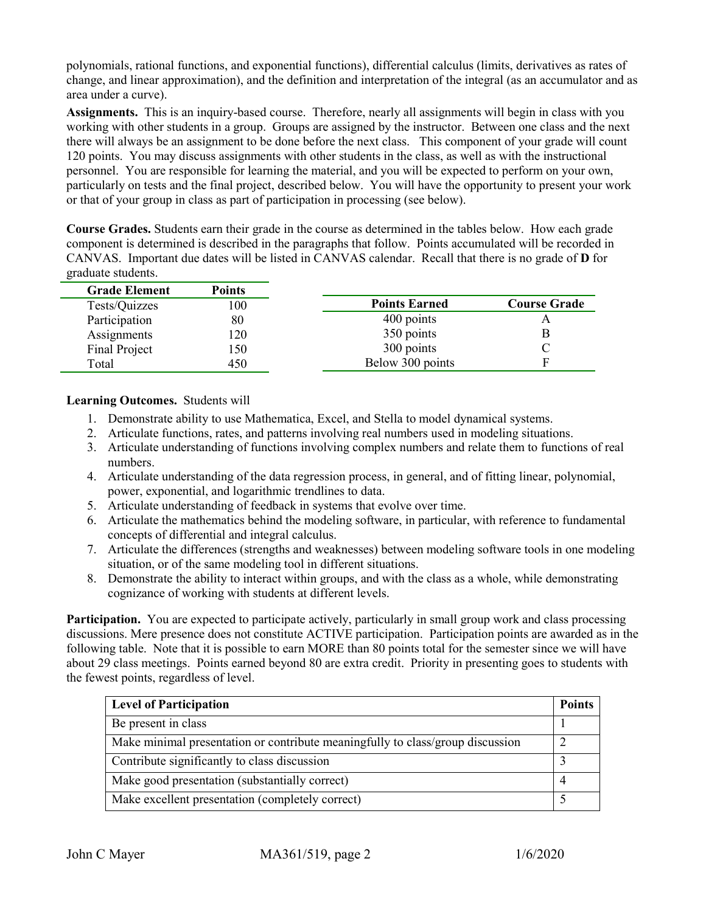polynomials, rational functions, and exponential functions), differential calculus (limits, derivatives as rates of change, and linear approximation), and the definition and interpretation of the integral (as an accumulator and as area under a curve).

**Assignments.** This is an inquiry-based course. Therefore, nearly all assignments will begin in class with you working with other students in a group. Groups are assigned by the instructor. Between one class and the next there will always be an assignment to be done before the next class. This component of your grade will count 120 points. You may discuss assignments with other students in the class, as well as with the instructional personnel. You are responsible for learning the material, and you will be expected to perform on your own, particularly on tests and the final project, described below. You will have the opportunity to present your work or that of your group in class as part of participation in processing (see below).

**Course Grades.** Students earn their grade in the course as determined in the tables below. How each grade component is determined is described in the paragraphs that follow. Points accumulated will be recorded in CANVAS. Important due dates will be listed in CANVAS calendar. Recall that there is no grade of **D** for graduate students.

| <b>Grade Element</b> | <b>Points</b> |                      |                     |
|----------------------|---------------|----------------------|---------------------|
| Tests/Quizzes        | 100           | <b>Points Earned</b> | <b>Course Grade</b> |
| Participation        | 80            | 400 points           |                     |
| Assignments          | 120           | 350 points           |                     |
| Final Project        | l 50          | 300 points           |                     |
| Total                | 450           | Below 300 points     | F                   |

#### **Learning Outcomes.** Students will

- 1. Demonstrate ability to use Mathematica, Excel, and Stella to model dynamical systems.
- 2. Articulate functions, rates, and patterns involving real numbers used in modeling situations.
- 3. Articulate understanding of functions involving complex numbers and relate them to functions of real numbers.
- 4. Articulate understanding of the data regression process, in general, and of fitting linear, polynomial, power, exponential, and logarithmic trendlines to data.
- 5. Articulate understanding of feedback in systems that evolve over time.
- 6. Articulate the mathematics behind the modeling software, in particular, with reference to fundamental concepts of differential and integral calculus.
- 7. Articulate the differences (strengths and weaknesses) between modeling software tools in one modeling situation, or of the same modeling tool in different situations.
- 8. Demonstrate the ability to interact within groups, and with the class as a whole, while demonstrating cognizance of working with students at different levels.

**Participation.** You are expected to participate actively, particularly in small group work and class processing discussions. Mere presence does not constitute ACTIVE participation. Participation points are awarded as in the following table. Note that it is possible to earn MORE than 80 points total for the semester since we will have about 29 class meetings. Points earned beyond 80 are extra credit. Priority in presenting goes to students with the fewest points, regardless of level.

| <b>Level of Participation</b>                                                  | <b>Points</b> |
|--------------------------------------------------------------------------------|---------------|
| Be present in class                                                            |               |
| Make minimal presentation or contribute meaningfully to class/group discussion |               |
| Contribute significantly to class discussion                                   |               |
| Make good presentation (substantially correct)                                 |               |
| Make excellent presentation (completely correct)                               |               |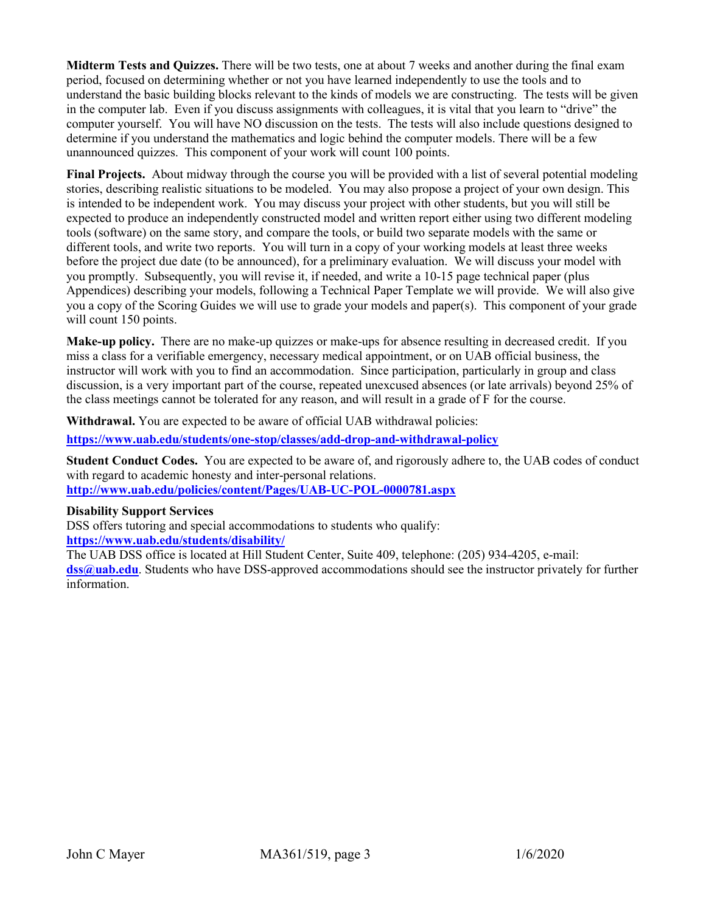**Midterm Tests and Quizzes.** There will be two tests, one at about 7 weeks and another during the final exam period, focused on determining whether or not you have learned independently to use the tools and to understand the basic building blocks relevant to the kinds of models we are constructing. The tests will be given in the computer lab. Even if you discuss assignments with colleagues, it is vital that you learn to "drive" the computer yourself. You will have NO discussion on the tests. The tests will also include questions designed to determine if you understand the mathematics and logic behind the computer models. There will be a few unannounced quizzes. This component of your work will count 100 points.

**Final Projects.** About midway through the course you will be provided with a list of several potential modeling stories, describing realistic situations to be modeled. You may also propose a project of your own design. This is intended to be independent work. You may discuss your project with other students, but you will still be expected to produce an independently constructed model and written report either using two different modeling tools (software) on the same story, and compare the tools, or build two separate models with the same or different tools, and write two reports. You will turn in a copy of your working models at least three weeks before the project due date (to be announced), for a preliminary evaluation. We will discuss your model with you promptly. Subsequently, you will revise it, if needed, and write a 10-15 page technical paper (plus Appendices) describing your models, following a Technical Paper Template we will provide. We will also give you a copy of the Scoring Guides we will use to grade your models and paper(s). This component of your grade will count 150 points.

**Make-up policy.** There are no make-up quizzes or make-ups for absence resulting in decreased credit. If you miss a class for a verifiable emergency, necessary medical appointment, or on UAB official business, the instructor will work with you to find an accommodation. Since participation, particularly in group and class discussion, is a very important part of the course, repeated unexcused absences (or late arrivals) beyond 25% of the class meetings cannot be tolerated for any reason, and will result in a grade of F for the course.

**Withdrawal.** You are expected to be aware of official UAB withdrawal policies:

**<https://www.uab.edu/students/one-stop/classes/add-drop-and-withdrawal-policy>**

**Student Conduct Codes.** You are expected to be aware of, and rigorously adhere to, the UAB codes of conduct with regard to academic honesty and inter-personal relations.

**<http://www.uab.edu/policies/content/Pages/UAB-UC-POL-0000781.aspx>**

#### **Disability Support Services**

DSS offers tutoring and special accommodations to students who qualify: **<https://www.uab.edu/students/disability/>**

The UAB DSS office is located at Hill Student Center, Suite 409, telephone: (205) 934-4205, e-mail:

**[dss@uab.edu](mailto:dss@uab.edu)**. Students who have DSS-approved accommodations should see the instructor privately for further information.